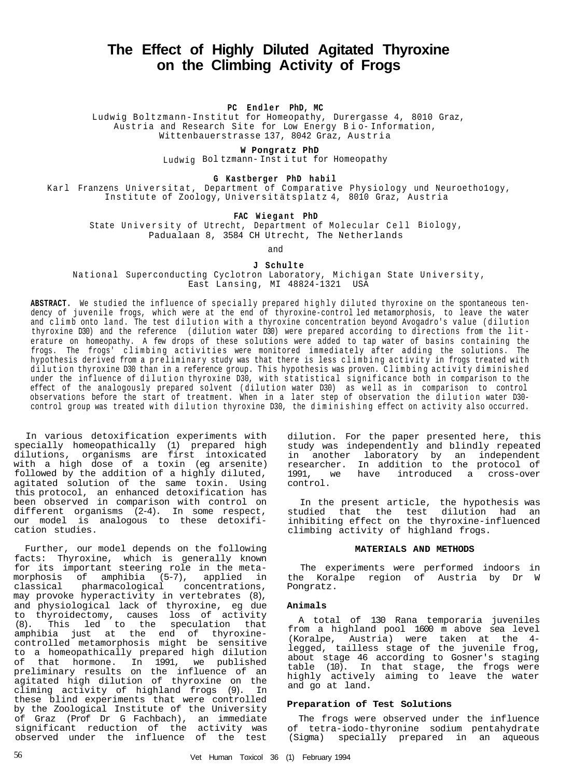# **The Effect of Highly Diluted Agitated Thyroxine on the Climbing Activity of Frogs**

## **PC Endler PhD, MC**

Ludwig Boltzmann-Institut for Homeopathy, Durergasse 4, 8010 Graz, Austria and Research Site for Low Energy B i o- Information, Wittenbauerstrasse 137, 8042 Graz, Austria

# **W Pongratz PhD**

Ludwig Bol tzmann- Inst i tut for Homeopathy

#### **G Kastberger PhD habil**

Karl Franzens Universitat, Department of Comparative Physiology und Neuroethology, Institute of Zoology, Universitätsplatz 4, 8010 Graz, Austria

# **FAC Wiegant PhD**

State University of Utrecht, Department of Molecular Cell Biology, Padualaan 8, 3584 CH Utrecht, The Netherlands

and

#### **J Schulte**

National Superconducting Cyclotron Laboratory, Michigan State University, East Lansing, MI 48824-1321 USA

ABSTRACT. We studied the influence of specially prepared highly diluted thyroxine on the spontaneous tendency of juvenile frogs, which were at the end of thyroxine-control led metamorphosis, to leave the water and climb onto land. The test dilution with a thyroxine concentration beyond Avogadro's value (dilution thyroxine D30) and the reference (dilution water D30) were prepared according to directions from the lit erature on homeopathy. A few drops of these solutions were added to tap water of basins containing the frogs. The frogs' climbing activities were monitored immediately after adding the solutions. The hypothesis derived from a preliminary study was that there is less climbing activity in frogs treated with dilution thyroxine D30 than in a reference group. This hypothesis was proven. Climbing activity diminished under the influence of dilution thyroxine D30, with statistical significance both in comparison to the effect of the analogously prepared solvent (dilution water D30) as well as in comparison to control observations before the start of treatment. When in a later step of observation the dilution water D30control group was treated with dilution thyroxine D30, the diminishing effect on activity also occurred.

In various detoxification experiments with specially homeopathically (1) prepared high dilutions, organisms are first intoxicated with a high dose of a toxin (eg arsenite) followed by the addition of a highly diluted, agitated solution of the same toxin. Using this protocol, an enhanced detoxification has been observed in comparison with control on different organisms (2-4). In some respect, our model is analogous to these detoxification studies.

Further, our model depends on the following facts: Thyroxine, which is generally known for its important steering role in the metamorphosis of amphibia (5-7), applied in classical pharmacological concentrations, may provoke hyperactivity in vertebrates (8), and physiological lack of thyroxine, eg due to thyroidectomy, causes loss of activity (8). This led to the speculation that amphibia just at the end of thyroxinecontrolled metamorphosis might be sensitive to a homeopathically prepared high dilution of that hormone. In 1991, we published preliminary results on the influence of an agitated high dilution of thyroxine on the climing activity of highland frogs (9). In these blind experiments that were controlled by the Zoological Institute of the University of Graz (Prof Dr G Fachbach), an immediate significant reduction of the activity was observed under the influence of the test

dilution. For the paper presented here, this study was independently and blindly repeated in another laboratory by an independent researcher. In addition to the protocol of 1991, we have introduced a cross-over control.

In the present article, the hypothesis was studied that the test dilution had an inhibiting effect on the thyroxine-influenced climbing activity of highland frogs.

#### **MATERIALS AND METHODS**

The experiments were performed indoors in the Koralpe region of Austria by Dr W Pongratz.

#### **Animals**

A total of 130 Rana temporaria juveniles from a highland pool 1600 m above sea level (Koralpe, Austria) were taken at the 4 legged, tailless stage of the juvenile frog, about stage 46 according to Gosner's staging table (10). In that stage, the frogs were highly actively aiming to leave the water and go at land.

## **Preparation of Test Solutions**

The frogs were observed under the influence of tetra-iodo-thyronine sodium pentahydrate (Sigma) specially prepared in an aqueous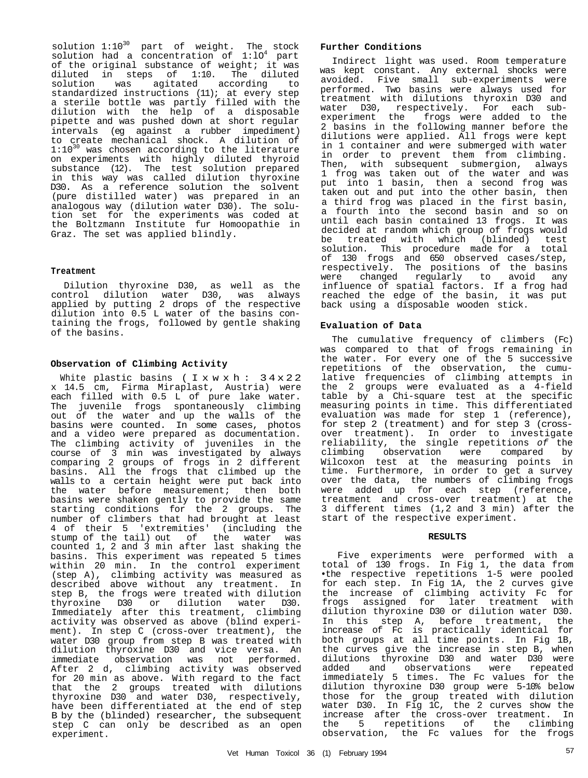solution  $1:10^{30}$  part of weight. The stock solution had a concentration of  $1:10^4$  part of the original substance of weight; it was diluted in steps of 1:10. The diluted solution was agitated according to standardized instructions (11); at every step a sterile bottle was partly filled with the dilution with the help of a disposable pipette and was pushed down at short regular intervals (eg against a rubber impediment) to create mechanical shock. A dilution of 1:10<sup>30</sup> was chosen according to the literature on experiments with highly diluted thyroid substance (12). The test solution prepared in this way was called dilution thyroxine D30. As a reference solution the solvent (pure distilled water) was prepared in an analogous way (dilution water D30). The solution set for the experiments was coded at the Boltzmann Institute fur Homoopathie in Graz. The set was applied blindly.

# **Treatment**

Dilution thyroxine D30, as well as the control dilution water D30, was always applied by putting 2 drops of the respective dilution into 0.5 L water of the basins containing the frogs, followed by gentle shaking of the basins.

# **Observation of Climbing Activity**

White plastic basins ( $I \times w \times h$ : 34x22 x 14.5 cm, Firma Miraplast, Austria) were each filled with 0.5 L of pure lake water. The juvenile frogs spontaneously climbing out of the water and up the walls of the basins were counted. In some cases, photos and a video were prepared as documentation. The climbing activity of juveniles in the course of 3 min was investigated by always comparing 2 groups of frogs in 2 different basins. All the frogs that climbed up the walls to a certain height were put back into the water before measurement; then both basins were shaken gently to provide the same starting conditions for the 2 groups. The number of climbers that had brought at least 4 of their 5 'extremities' (including the stump of the tail) out of the water was counted 1, 2 and 3 min after last shaking the basins. This experiment was repeated 5 times within 20 min. In the control experiment (step A), climbing activity was measured as described above without any treatment. In step B, the frogs were treated with dilution thyroxine D30 or dilution water D30. Immediately after this treatment, climbing activity was observed as above (blind experiment). In step C (cross-over treatment), the water D30 group from step B was treated with dilution thyroxine D30 and vice versa. An immediate observation was not performed. After 2 d, climbing activity was observed for 20 min as above. With regard to the fact that the 2 groups treated with dilutions thyroxine D30 and water D30, respectively, have been differentiated at the end of step B by the (blinded) researcher, the subsequent step C can only be described as an open experiment.

# **Further Conditions**

Indirect light was used. Room temperature was kept constant. Any external shocks were avoided. Five small sub-experiments were performed. Two basins were always used for treatment with dilutions thyroxin D30 and water D30, respectively. For each subexperiment the frogs were added to the 2 basins in the following manner before the dilutions were applied. All frogs were kept in 1 container and were submerged with water in order to prevent them from climbing. Then, with subsequent submergion, always 1 frog was taken out of the water and was put into 1 basin, then a second frog was taken out and put into the other basin, then a third frog was placed in the first basin, a fourth into the second basin and so on until each basin contained 13 frogs. It was decided at random which group of frogs would be treated with which (blinded) test solution. This procedure made for a total of 130 frogs and 650 observed cases/step, respectively. The positions of the basins were changed regularly to avoid any influence of spatial factors. If a frog had reached the edge of the basin, it was put back using a disposable wooden stick.

# **Evaluation of Data**

The cumulative frequency of climbers (Fc) was compared to that of frogs remaining in the water. For every one of the 5 successive repetitions of the observation, the cumulative frequencies of climbing attempts in the 2 groups were evaluated as a 4-field table by a Chi-square test at the specific measuring points in time. This differentiated evaluation was made for step 1 (reference), for step 2 (treatment) and for step 3 (crossover treatment). In order to investigate reliability, the single repetitions of the climbing observation were compared by Wilcoxon test at the measuring points in time. Furthermore, in order to get a survey over the data, the numbers of climbing frogs were added up for each step (reference, treatment and cross-over treatment) at the 3 different times (1,2 and 3 min) after the start of the respective experiment.

## **RESULTS**

Five experiments were performed with a total of 130 frogs. In Fig 1, the data from •the respective repetitions 1-5 were pooled for each step. In Fig 1A, the 2 curves give the increase of climbing activity Fc for frogs assigned for later treatment with dilution thyroxine D30 or dilution water D30. In this step A, before treatment, the increase of Fc is practically identical for both groups at all time points. In Fig 1B, the curves give the increase in step B, when dilutions thyroxine D30 and water D30 were added and observations were repeated immediately 5 times. The Fc values for the dilution thyroxine D30 group were 5-10% below those for the group treated with dilution water D30. In Fig 1C, the 2 curves show the increase after the cross-over treatment. In the 5 repetitions of the climbing observation, the Fc values for the frogs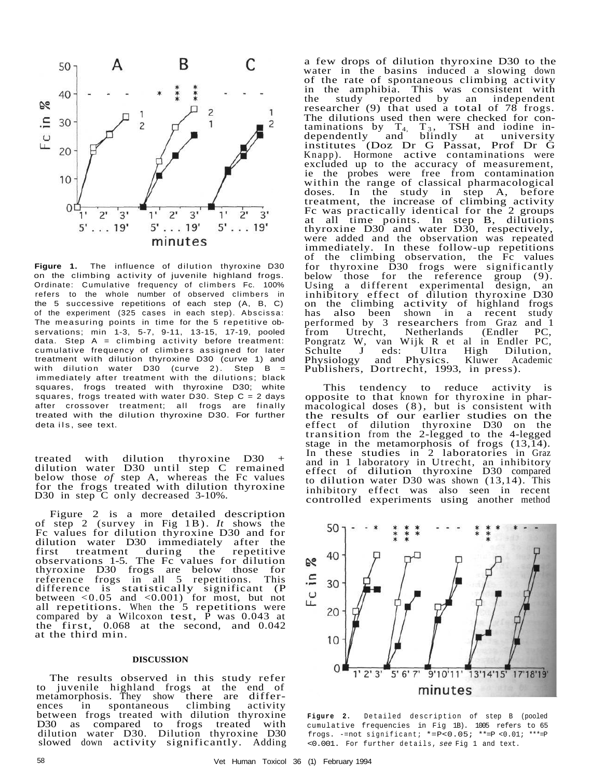

**Figure 1.** The influence of dilution thyroxine D30 on the climbing activity of juvenile highland frogs. Ordinate: Cumulative frequency of climbers Fc. 100% refers to the whole number of observed climbers in the 5 successive repetitions of each step (A, B, C) of the experiment (325 cases in each step). Abscissa: The measuring points in time for the 5 repetitive observations; min 1-3, 5-7, 9-11, 13-15, 17-19, pooled data. Step  $A =$  climbing activity before treatment: cumulative frequency of climbers assigned for later treatment with dilution thyroxine D30 (curve 1) and with dilution water  $D30$  (curve 2). Step  $B =$ immediately after treatment with the dilutions; black squares, frogs treated with thyroxine D30; white squares, frogs treated with water D30. Step  $C = 2$  days after crossover treatment; all frogs are finally treated with the dilution thyroxine D30. For further deta ils, see text.

treated with dilution thyroxine D30 + dilution water D30 until step C remained below those *of* step A, whereas the Fc values for the frogs treated with dilution thyroxine D30 in step C only decreased 3-10%.

Figure 2 is a more detailed description of step 2 (survey in Fig 1B). *It* shows the Fc values for dilution thyroxine D30 and for dilution water D30 immediately after the first treatment during the repetitive observations 1-5. The Fc values for dilution thyroxine D30 frogs are below those for reference frogs in all 5 repetitions. This difference is statistically significant (P between  $\langle 0.05 \rangle$  and  $\langle 0.001 \rangle$  for most, but not all repetitions. When the 5 repetitions were compared by a Wilcoxon test,  $\overline{P}$  was 0.043 at the first,  $0.068$  at the second, and  $0.042$ at the third min.

## **DISCUSSION**

The results observed in this study refer to juvenile highland frogs at the end of metamorphosis. They show there are differences in spontaneous climbing activity between frogs treated with dilution thyroxine D30 as compared to frogs treated with dilution water D30. Dilution thyroxine D30 slowed down activity significantly. Adding a few drops of dilution thyroxine D30 to the water in the basins induced a slowing down of the rate of spontaneous climbing activity in the amphibia. This was consistent with<br>the study reported by an independent the study reported by an independent researcher (9) that used a total of 78 frogs. The dilutions used then were checked for contaminations by  $T_4$ ,  $T_3$ , TSH and iodine independently and blindly at university institutes (Doz Dr G Passat, Prof Dr G Knapp). Hormone active contaminations were excluded up to the accuracy of measurement, ie the probes were free from contamination within the range of classical pharmacological doses. In the study in step A, before treatment, the increase of climbing activity Fc was practically identical for the 2 groups at all time points. In step B, dilutions thyroxine D30 and water D30, respectively, were added and the observation was repeated immediately. In these follow-up repetitions of the climbing observation, the Fc values for thyroxine D30 frogs were significantly below those for the reference group (9). Using a different experimental design, an inhibitory effect of dilution thyroxine D30 on the climbing activity of highland frogs has also been shown in a recent study has also been shown in a recent study<br>performed by 3 researchers from Graz and 1<br>from Utrecht, Netherlands (Endler PC, from Utrecht, Netherlands (Endler PC, Pongratz W, van Wijk R et al in Endler PC, Schulte J eds: Ultra High Dilution,<br>Physiology and Physics. Kluwer Academic eds: Ultra<br>and Physics. Publishers, Dortrecht, 1993, in press).

This tendency to reduce activity is opposite to that known for thyroxine in pharmacological doses (8), but is consistent with the results of our earlier studies on the effect of dilution thyroxine D30 on the transition from the 2-legged to the 4-legged stage in the metamorphosis of frogs (13,14). In these studies in 2 laboratories in Graz and in 1 laboratory in Utrecht, an inhibitory effect of dilution thyroxine D30 compared to dilution water D30 was shown (13,14). This inhibitory effect was also seen in recent controlled experiments using another method



**Figure 2.** Detailed description of step B (pooled cumulative frequencies in Fig 1B). 1005 refers to 65 frogs. -=not significant; \*=P<0.05; \*\*=P <0.01; \*\*\*=P <0.001. For further details, see Fig 1 and text.